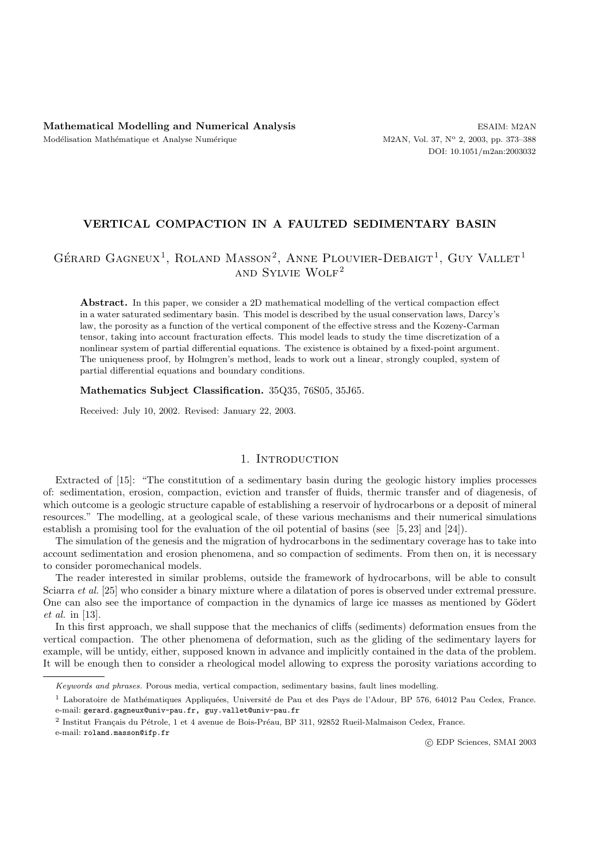# **VERTICAL COMPACTION IN A FAULTED SEDIMENTARY BASIN**

# GÉRARD GAGNEUX<sup>1</sup>, ROLAND MASSON<sup>2</sup>, ANNE PLOUVIER-DEBAIGT<sup>1</sup>, GUY VALLET<sup>1</sup> and Sylvie Wolf<sup>2</sup>

**Abstract.** In this paper, we consider a 2D mathematical modelling of the vertical compaction effect in a water saturated sedimentary basin. This model is described by the usual conservation laws, Darcy's law, the porosity as a function of the vertical component of the effective stress and the Kozeny-Carman tensor, taking into account fracturation effects. This model leads to study the time discretization of a nonlinear system of partial differential equations. The existence is obtained by a fixed-point argument. The uniqueness proof, by Holmgren's method, leads to work out a linear, strongly coupled, system of partial differential equations and boundary conditions.

#### **Mathematics Subject Classification.** 35Q35, 76S05, 35J65.

Received: July 10, 2002. Revised: January 22, 2003.

# 1. INTRODUCTION

Extracted of [15]: "The constitution of a sedimentary basin during the geologic history implies processes of: sedimentation, erosion, compaction, eviction and transfer of fluids, thermic transfer and of diagenesis, of which outcome is a geologic structure capable of establishing a reservoir of hydrocarbons or a deposit of mineral resources." The modelling, at a geological scale, of these various mechanisms and their numerical simulations establish a promising tool for the evaluation of the oil potential of basins (see [5, 23] and [24]).

The simulation of the genesis and the migration of hydrocarbons in the sedimentary coverage has to take into account sedimentation and erosion phenomena, and so compaction of sediments. From then on, it is necessary to consider poromechanical models.

The reader interested in similar problems, outside the framework of hydrocarbons, will be able to consult Sciarra *et al.* [25] who consider a binary mixture where a dilatation of pores is observed under extremal pressure. One can also see the importance of compaction in the dynamics of large ice masses as mentioned by Gödert *et al.* in [13].

In this first approach, we shall suppose that the mechanics of cliffs (sediments) deformation ensues from the vertical compaction. The other phenomena of deformation, such as the gliding of the sedimentary layers for example, will be untidy, either, supposed known in advance and implicitly contained in the data of the problem. It will be enough then to consider a rheological model allowing to express the porosity variations according to

e-mail: roland.masson@ifp.fr

Keywords and phrases. Porous media, vertical compaction, sedimentary basins, fault lines modelling.

<sup>&</sup>lt;sup>1</sup> Laboratoire de Mathématiques Appliquées, Université de Pau et des Pays de l'Adour, BP 576, 64012 Pau Cedex, France. e-mail: gerard.gagneux@univ-pau.fr, guy.vallet@univ-pau.fr

 $2$  Institut Français du Pétrole, 1 et 4 avenue de Bois-Préau, BP 311, 92852 Rueil-Malmaison Cedex, France.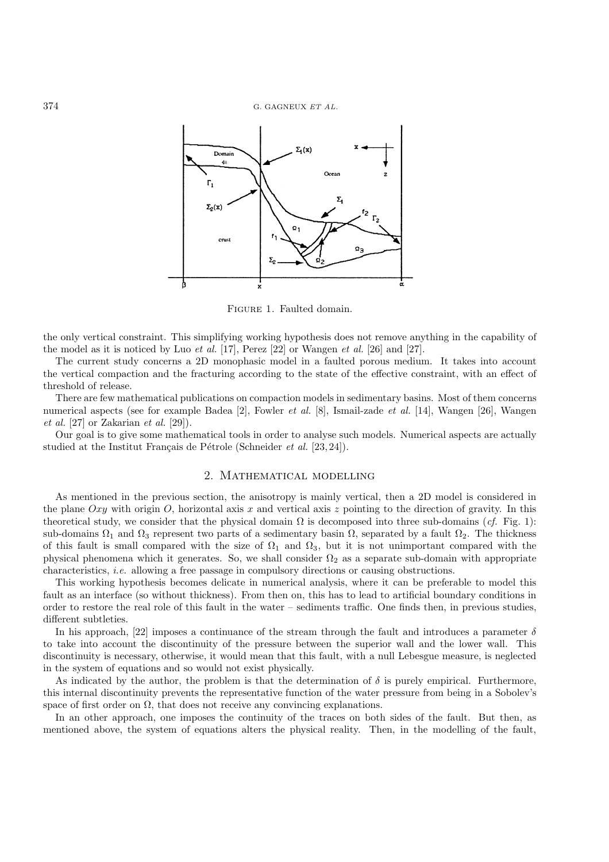374 G. GAGNEUX *ET AL.*



Figure 1. Faulted domain.

the only vertical constraint. This simplifying working hypothesis does not remove anything in the capability of the model as it is noticed by Luo *et al.* [17], Perez [22] or Wangen *et al.* [26] and [27].

The current study concerns a 2D monophasic model in a faulted porous medium. It takes into account the vertical compaction and the fracturing according to the state of the effective constraint, with an effect of threshold of release.

There are few mathematical publications on compaction models in sedimentary basins. Most of them concerns numerical aspects (see for example Badea [2], Fowler *et al.* [8], Ismail-zade *et al.* [14], Wangen [26], Wangen *et al.* [27] or Zakarian *et al.* [29]).

Our goal is to give some mathematical tools in order to analyse such models. Numerical aspects are actually studied at the Institut Français de Pétrole (Schneider *et al.* [23, 24]).

# 2. Mathematical modelling

As mentioned in the previous section, the anisotropy is mainly vertical, then a 2D model is considered in the plane  $Oxy$  with origin  $O$ , horizontal axis x and vertical axis z pointing to the direction of gravity. In this theoretical study, we consider that the physical domain  $\Omega$  is decomposed into three sub-domains (*cf.* Fig. 1): sub-domains  $\Omega_1$  and  $\Omega_3$  represent two parts of a sedimentary basin  $\Omega$ , separated by a fault  $\Omega_2$ . The thickness of this fault is small compared with the size of  $\Omega_1$  and  $\Omega_3$ , but it is not unimportant compared with the physical phenomena which it generates. So, we shall consider  $\Omega_2$  as a separate sub-domain with appropriate characteristics, *i.e.* allowing a free passage in compulsory directions or causing obstructions.

This working hypothesis becomes delicate in numerical analysis, where it can be preferable to model this fault as an interface (so without thickness). From then on, this has to lead to artificial boundary conditions in order to restore the real role of this fault in the water – sediments traffic. One finds then, in previous studies, different subtleties.

In his approach, [22] imposes a continuance of the stream through the fault and introduces a parameter  $\delta$ to take into account the discontinuity of the pressure between the superior wall and the lower wall. This discontinuity is necessary, otherwise, it would mean that this fault, with a null Lebesgue measure, is neglected in the system of equations and so would not exist physically.

As indicated by the author, the problem is that the determination of  $\delta$  is purely empirical. Furthermore, this internal discontinuity prevents the representative function of the water pressure from being in a Sobolev's space of first order on  $\Omega$ , that does not receive any convincing explanations.

In an other approach, one imposes the continuity of the traces on both sides of the fault. But then, as mentioned above, the system of equations alters the physical reality. Then, in the modelling of the fault,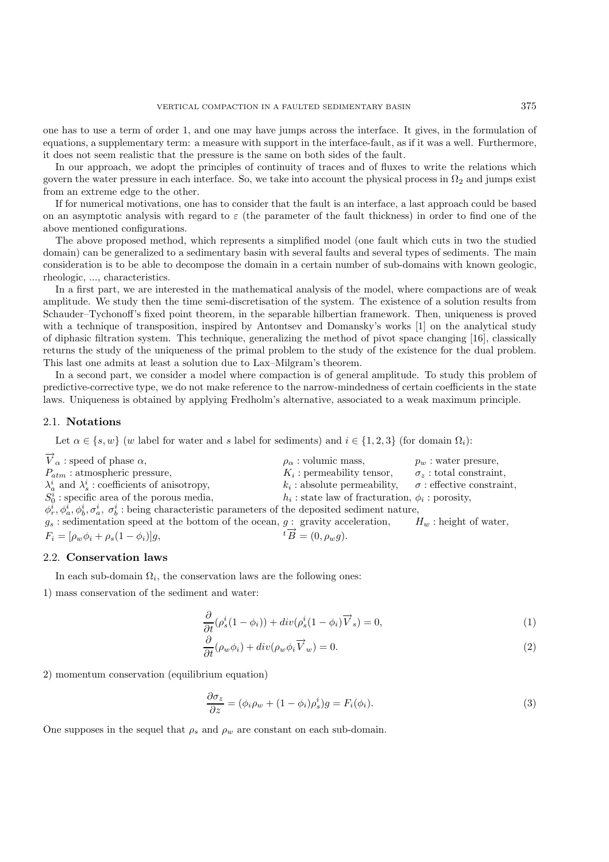one has to use a term of order 1, and one may have jumps across the interface. It gives, in the formulation of equations, a supplementary term: a measure with support in the interface-fault, as if it was a well. Furthermore, it does not seem realistic that the pressure is the same on both sides of the fault.

In our approach, we adopt the principles of continuity of traces and of fluxes to write the relations which govern the water pressure in each interface. So, we take into account the physical process in  $\Omega_2$  and jumps exist from an extreme edge to the other.

If for numerical motivations, one has to consider that the fault is an interface, a last approach could be based on an asymptotic analysis with regard to  $\varepsilon$  (the parameter of the fault thickness) in order to find one of the above mentioned configurations.

The above proposed method, which represents a simplified model (one fault which cuts in two the studied domain) can be generalized to a sedimentary basin with several faults and several types of sediments. The main consideration is to be able to decompose the domain in a certain number of sub-domains with known geologic, rheologic, ..., characteristics.

In a first part, we are interested in the mathematical analysis of the model, where compactions are of weak amplitude. We study then the time semi-discretisation of the system. The existence of a solution results from Schauder–Tychonoff's fixed point theorem, in the separable hilbertian framework. Then, uniqueness is proved with a technique of transposition, inspired by Antontsev and Domansky's works [1] on the analytical study of diphasic filtration system. This technique, generalizing the method of pivot space changing [16], classically returns the study of the uniqueness of the primal problem to the study of the existence for the dual problem. This last one admits at least a solution due to Lax–Milgram's theorem.

In a second part, we consider a model where compaction is of general amplitude. To study this problem of predictive-corrective type, we do not make reference to the narrow-mindedness of certain coefficients in the state laws. Uniqueness is obtained by applying Fredholm's alternative, associated to a weak maximum principle.

#### 2.1. **Notations**

Let  $\alpha \in \{s, w\}$  (w label for water and s label for sediments) and  $i \in \{1, 2, 3\}$  (for domain  $\Omega_i$ ):

 $\overrightarrow{V}_{\alpha}$ : speed of phase  $\alpha$ ,  $\rho_{\alpha}$ : volumic mass,  $p_w$ : water presure,  $P_{atm}$ : atmospheric pressure,  $K_i$ : permeability tensor,  $\sigma_z$ : total constraint,  $P_{atm}$ : atmospheric pressure,<br>  $\lambda_a^i$  and  $\lambda_s^i$ : coefficients of anisotropy,<br>  $k_i$ : absolute permeability,  $\sigma_z$ : effective constraint,<br>  $\lambda_b^i$  and  $\lambda_s^i$ : coefficients of anisotropy,  $\lambda_a^i$  and  $\lambda_s^i$ <br>Si special  $h_i$ : state law of fracturation,  $\phi_i$ : porosity,  $S_0^i$ : specific area of the porous media,  $S_0^i$ : specific area of the porous media,  $h_i$ : state law of fracturation,  $\phi_i$ : porosity,  $\phi_i^i$ ,  $\phi_a^i$ ,  $\sigma_b^i$ ,  $\sigma_b^i$ : being characteristic parameters of the deposited sediment nature,  $a$ : sedimentation speed  $g_s$ : sedimentation speed at the bottom of the ocean,  $g$ : gravity acceleration,  $H_w$ : height of water,  $F_i = [\rho_w \phi_i + \rho_s (1 - \phi_i)]g$ ,  ${}^t\overrightarrow{B} = (0, \rho_w g)$ .

# 2.2. **Conservation laws**

In each sub-domain  $\Omega_i$ , the conservation laws are the following ones:

1) mass conservation of the sediment and water:

$$
\frac{\partial}{\partial t}(\rho_s^i(1-\phi_i)) + div(\rho_s^i(1-\phi_i)\overrightarrow{V}_s) = 0,
$$
\n(1)

$$
\frac{\partial}{\partial t}(\rho_w \phi_i) + \operatorname{div}(\rho_w \phi_i \overrightarrow{V}_w) = 0. \tag{2}
$$

2) momentum conservation (equilibrium equation)

$$
\frac{\partial \sigma_z}{\partial z} = (\phi_i \rho_w + (1 - \phi_i)\rho_s^i)g = F_i(\phi_i). \tag{3}
$$

One supposes in the sequel that  $\rho_s$  and  $\rho_w$  are constant on each sub-domain.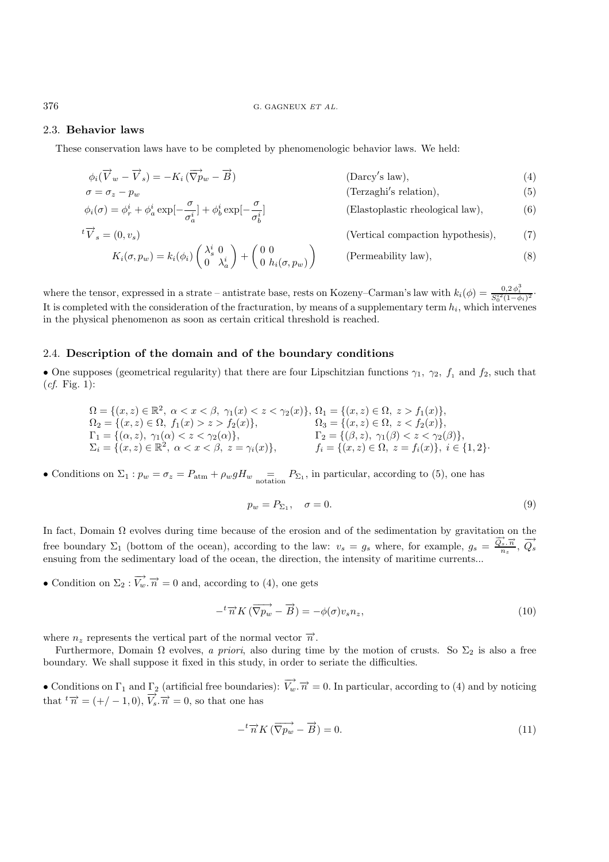# 2.3. **Behavior laws**

These conservation laws have to be completed by phenomenologic behavior laws. We held:

$$
\phi_i(\overrightarrow{V}_w - \overrightarrow{V}_s) = -K_i(\overrightarrow{\nabla}p_w - \overrightarrow{B})
$$
 (Darcy's law), (4)  
\n
$$
\sigma = \sigma_z - p_w
$$
 (Terzaghi's relation), (5)  
\n
$$
\phi_i(\sigma) = \phi_r^i + \phi_a^i \exp[-\frac{\sigma}{\sigma_a^i}] + \phi_b^i \exp[-\frac{\sigma}{\sigma_b^i}]
$$
 (Elastoplastic rheological law), (6)  
\n
$$
{}^t\overrightarrow{V}_s = (0, v_s)
$$
 (Vertical compaction hypothesis), (7)  
\n
$$
K_i(\sigma, p_w) = k_i(\phi_i) \begin{pmatrix} \lambda_s^i & 0 \\ 0 & \lambda_a^i \end{pmatrix} + \begin{pmatrix} 0 & 0 \\ 0 & h_i(\sigma, p_w) \end{pmatrix}
$$
 (Permeability law), (8)

where the tensor, expressed in a strate – antistrate base, rests on Kozeny–Carman's law with  $k_i(\phi) = \frac{0.2 \phi_i^3}{S_0^{i2} (1-\phi_i)^2}$ .<br>It is completed with the consideration of the fracturation by means of a supplementant term It is completed with the consideration of the fracturation, by means of a supplementary term  $h_i$ , which intervenes in the physical phenomenon as soon as certain critical threshold is reached.

# 2.4. **Description of the domain and of the boundary conditions**

• One supposes (geometrical regularity) that there are four Lipschitzian functions  $\gamma_1$ ,  $\gamma_2$ ,  $f_1$  and  $f_2$ , such that (*cf.* Fig. 1):

$$
\Omega = \{(x, z) \in \mathbb{R}^2, \ \alpha < x < \beta, \ \gamma_1(x) < z < \gamma_2(x)\}, \ \Omega_1 = \{(x, z) \in \Omega, \ z > f_1(x)\}, \ \Omega_2 = \{(x, z) \in \Omega, \ f_1(x) > z > f_2(x)\}, \ \Omega_3 = \{(x, z) \in \Omega, \ z < f_2(x)\}, \ \Gamma_1 = \{(\alpha, z), \ \gamma_1(\alpha) < z < \gamma_2(\alpha)\}, \ \Gamma_2 = \{(\beta, z), \ \gamma_1(\beta) < z < \gamma_2(\beta)\}, \ \Sigma_i = \{(x, z) \in \mathbb{R}^2, \ \alpha < x < \beta, \ z = \gamma_i(x)\}, \qquad f_i = \{(x, z) \in \Omega, \ z = f_i(x)\}, \ i \in \{1, 2\}.
$$

• Conditions on  $\Sigma_1: p_w = \sigma_z = P_{\text{atm}} + \rho_w g H_w = P_{\Sigma_1}$ , in particular, according to (5), one has

$$
p_w = P_{\Sigma_1}, \quad \sigma = 0. \tag{9}
$$

In fact, Domain Ω evolves during time because of the erosion and of the sedimentation by gravitation on the free boundary  $\Sigma_1$  (bottom of the ocean), according to the law:  $v_s = g_s$  where, for example,  $g_s = \frac{\vec{Q}_s \cdot \vec{n}}{n_z}$ ,  $\vec{Q}_s$ ensuing from the sedimentary load of the ocean, the direction, the intensity of maritime currents...

• Condition on  $\Sigma_2 : \overrightarrow{V_w} \cdot \overrightarrow{n} = 0$  and, according to (4), one gets

$$
-{}^{t}\overrightarrow{n}K\left(\overrightarrow{\nabla p_{w}} - \overrightarrow{B}\right) = -\phi(\sigma)v_{s}n_{z},\tag{10}
$$

where  $n_z$  represents the vertical part of the normal vector  $\vec{n}$ .

Furthermore, Domain  $\Omega$  evolves, *a priori*, also during time by the motion of crusts. So  $\Sigma_2$  is also a free boundary. We shall suppose it fixed in this study, in order to seriate the difficulties.

• Conditions on  $\Gamma_1$  and  $\Gamma_2$  (artificial free boundaries):  $\overrightarrow{V_w} \cdot \overrightarrow{n} = 0$ . In particular, according to (4) and by noticing that  $t\overrightarrow{n} = (+/-1,0), \overrightarrow{V_s} \cdot \overrightarrow{n} = 0$ , so that one has

$$
-{}^{t}\overrightarrow{n}K(\overrightarrow{\nabla p_{w}} - \overrightarrow{B}) = 0.
$$
\n(11)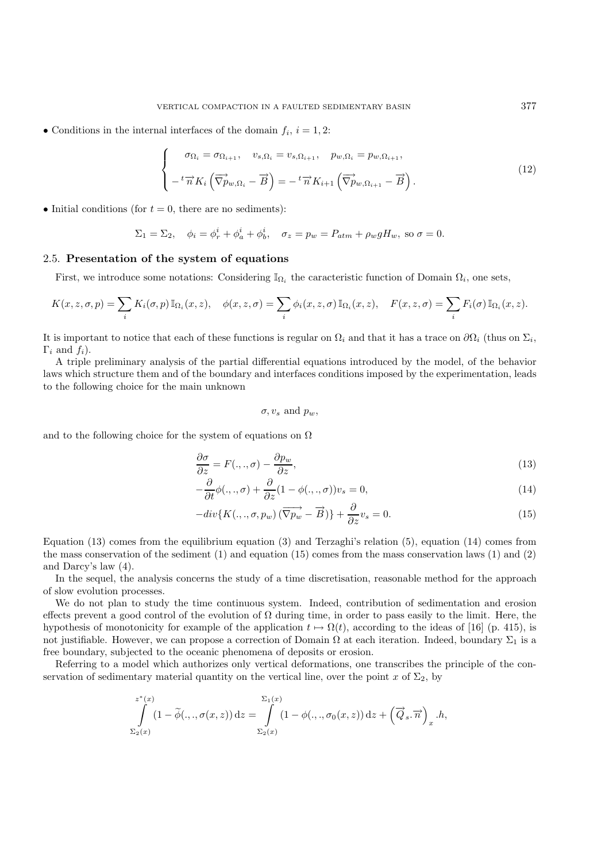• Conditions in the internal interfaces of the domain  $f_i$ ,  $i = 1, 2$ :

$$
\begin{cases}\n\sigma_{\Omega_i} = \sigma_{\Omega_{i+1}}, & v_{s,\Omega_i} = v_{s,\Omega_{i+1}}, & p_{w,\Omega_i} = p_{w,\Omega_{i+1}}, \\
-\,^t \overrightarrow{n} K_i \left( \overrightarrow{\nabla} p_{w,\Omega_i} - \overrightarrow{B} \right) = -\,^t \overrightarrow{n} K_{i+1} \left( \overrightarrow{\nabla} p_{w,\Omega_{i+1}} - \overrightarrow{B} \right).\n\end{cases} \tag{12}
$$

• Initial conditions (for  $t = 0$ , there are no sediments):

$$
\Sigma_1 = \Sigma_2
$$
,  $\phi_i = \phi_r^i + \phi_a^i + \phi_b^i$ ,  $\sigma_z = p_w = P_{atm} + \rho_w g H_w$ , so  $\sigma = 0$ .

# 2.5. **Presentation of the system of equations**

First, we introduce some notations: Considering  $\mathbb{I}_{\Omega_i}$  the caracteristic function of Domain  $\Omega_i$ , one sets,

$$
K(x, z, \sigma, p) = \sum_{i} K_i(\sigma, p) \mathbb{I}_{\Omega_i}(x, z), \quad \phi(x, z, \sigma) = \sum_{i} \phi_i(x, z, \sigma) \mathbb{I}_{\Omega_i}(x, z), \quad F(x, z, \sigma) = \sum_{i} F_i(\sigma) \mathbb{I}_{\Omega_i}(x, z).
$$

It is important to notice that each of these functions is regular on  $\Omega_i$  and that it has a trace on  $\partial\Omega_i$  (thus on  $\Sigma_i$ ,  $\Gamma_i$  and  $f_i$ ).

A triple preliminary analysis of the partial differential equations introduced by the model, of the behavior laws which structure them and of the boundary and interfaces conditions imposed by the experimentation, leads to the following choice for the main unknown

 $\sigma, v_s$  and  $p_w$ ,

and to the following choice for the system of equations on  $\Omega$ 

$$
\frac{\partial \sigma}{\partial z} = F(.,.,\sigma) - \frac{\partial p_w}{\partial z},\tag{13}
$$

$$
-\frac{\partial}{\partial t}\phi(.,.,\sigma) + \frac{\partial}{\partial z}(1 - \phi(.,.,\sigma))v_s = 0,
$$
\n(14)

$$
-div\{K(.,.,\sigma,p_w)\left(\overrightarrow{\nabla p_w} - \overrightarrow{B}\right)\} + \frac{\partial}{\partial z}v_s = 0.
$$
\n(15)

Equation (13) comes from the equilibrium equation (3) and Terzaghi's relation (5), equation (14) comes from the mass conservation of the sediment (1) and equation (15) comes from the mass conservation laws (1) and (2) and Darcy's law (4).

In the sequel, the analysis concerns the study of a time discretisation, reasonable method for the approach of slow evolution processes.

We do not plan to study the time continuous system. Indeed, contribution of sedimentation and erosion effects prevent a good control of the evolution of  $\Omega$  during time, in order to pass easily to the limit. Here, the hypothesis of monotonicity for example of the application  $t \mapsto \Omega(t)$ , according to the ideas of [16] (p. 415), is not justifiable. However, we can propose a correction of Domain  $\Omega$  at each iteration. Indeed, boundary  $\Sigma_1$  is a free boundary, subjected to the oceanic phenomena of deposits or erosion.

Referring to a model which authorizes only vertical deformations, one transcribes the principle of the conservation of sedimentary material quantity on the vertical line, over the point x of  $\Sigma_2$ , by

$$
\int_{\Sigma_2(x)}^{z^*(x)} (1 - \widetilde{\phi}(\ldots, \sigma(x, z)) dz = \int_{\Sigma_2(x)}^{2_1(x)} (1 - \phi(\ldots, \sigma_0(x, z)) dz + (\overrightarrow{Q}_s. \overrightarrow{n})_x \cdot h,
$$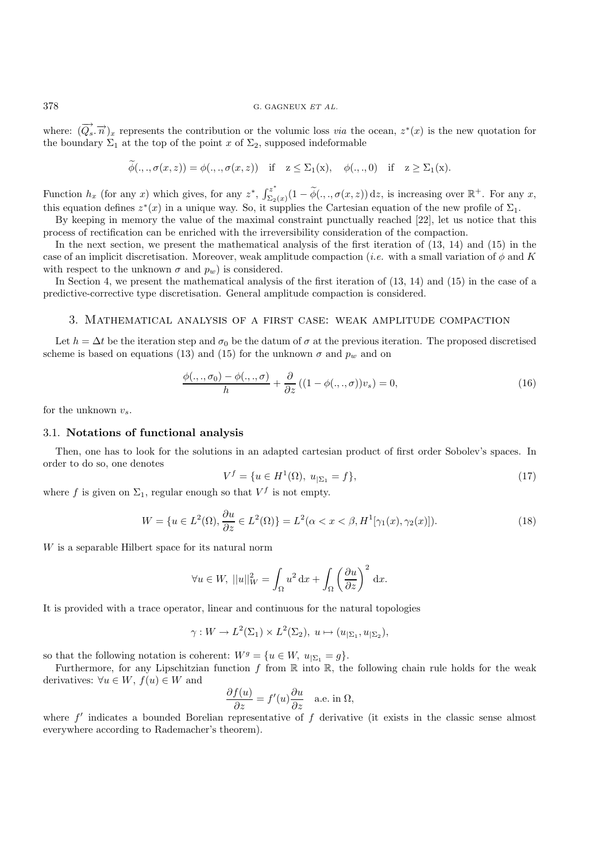where:  $(\overrightarrow{Q_s}, \overrightarrow{n})_x$  represents the contribution or the volumic loss *via* the ocean,  $z^*(x)$  is the new quotation for the boundary  $\Sigma_1$  at the top of the point x of  $\Sigma_2$ , supposed indeformable

$$
\phi(.,.,\sigma(x,z))=\phi(.,.,\sigma(x,z)) \text{ if } z\leq\Sigma_1(x), \phi(.,.,0) \text{ if } z\geq\Sigma_1(x).
$$

Function  $h_x$  (for any x) which gives, for any  $z^*$ ,  $\int_{\Sigma_2(x)}^{z^*}(1-\widetilde{\phi}(\cdot,\cdot,\sigma(x,z))\,dz)$ , is increasing over  $\mathbb{R}^+$ . For any x, this equation defines  $z^*(x)$  in a unique way. So, it supplies the Cartesian equation of the new profile of  $\Sigma_1$ .

By keeping in memory the value of the maximal constraint punctually reached [22], let us notice that this process of rectification can be enriched with the irreversibility consideration of the compaction.

In the next section, we present the mathematical analysis of the first iteration of (13, 14) and (15) in the case of an implicit discretisation. Moreover, weak amplitude compaction (*i.e.* with a small variation of  $\phi$  and K with respect to the unknown  $\sigma$  and  $p_w$ ) is considered.

In Section 4, we present the mathematical analysis of the first iteration of (13, 14) and (15) in the case of a predictive-corrective type discretisation. General amplitude compaction is considered.

# 3. Mathematical analysis of a first case: weak amplitude compaction

Let  $h = \Delta t$  be the iteration step and  $\sigma_0$  be the datum of  $\sigma$  at the previous iteration. The proposed discretised scheme is based on equations (13) and (15) for the unknown  $\sigma$  and  $p_w$  and on

$$
\frac{\phi(\ldots, \sigma_0) - \phi(\ldots, \sigma)}{h} + \frac{\partial}{\partial z} \left( (1 - \phi(\ldots, \sigma)) v_s \right) = 0,\tag{16}
$$

for the unknown  $v_{s}$ .

### 3.1. **Notations of functional analysis**

Then, one has to look for the solutions in an adapted cartesian product of first order Sobolev's spaces. In order to do so, one denotes

$$
V^f = \{ u \in H^1(\Omega), \ u_{|\Sigma_1} = f \},\tag{17}
$$

where f is given on  $\Sigma_1$ , regular enough so that  $V^f$  is not empty.

$$
W = \{u \in L^2(\Omega), \frac{\partial u}{\partial z} \in L^2(\Omega)\} = L^2(\alpha < x < \beta, H^1[\gamma_1(x), \gamma_2(x)]). \tag{18}
$$

W is a separable Hilbert space for its natural norm

$$
\forall u \in W, \ ||u||_W^2 = \int_{\Omega} u^2 \, dx + \int_{\Omega} \left(\frac{\partial u}{\partial z}\right)^2 \, dx.
$$

It is provided with a trace operator, linear and continuous for the natural topologies

$$
\gamma: W \to L^2(\Sigma_1) \times L^2(\Sigma_2), \ u \mapsto (u_{|\Sigma_1}, u_{|\Sigma_2}),
$$

so that the following notation is coherent:  $W^g = \{u \in W, u_{|\Sigma_1} = g\}.$ 

Furthermore, for any Lipschitzian function f from  $\mathbb R$  into  $\mathbb R$ , the following chain rule holds for the weak derivatives:  $\forall u \in W, f(u) \in W$  and

$$
\frac{\partial f(u)}{\partial z} = f'(u)\frac{\partial u}{\partial z} \quad \text{a.e. in } \Omega,
$$

where  $f'$  indicates a bounded Borelian representative of  $f$  derivative (it exists in the classic sense almost everywhere according to Rademacher's theorem).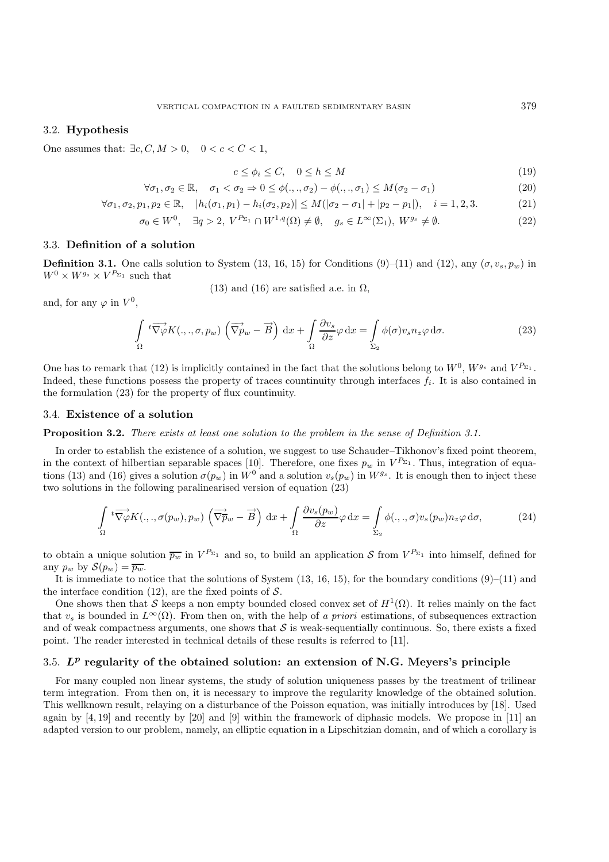# 3.2. **Hypothesis**

One assumes that:  $\exists c, C, M > 0, \quad 0 < c < C < 1$ ,

$$
c \le \phi_i \le C, \quad 0 \le h \le M \tag{19}
$$

$$
\forall \sigma_1, \sigma_2 \in \mathbb{R}, \quad \sigma_1 < \sigma_2 \Rightarrow 0 \le \phi(.,., \sigma_2) - \phi(.,., \sigma_1) \le M(\sigma_2 - \sigma_1) \tag{20}
$$

$$
\forall \sigma_1, \sigma_2, p_1, p_2 \in \mathbb{R}, \quad |h_i(\sigma_1, p_1) - h_i(\sigma_2, p_2)| \le M(|\sigma_2 - \sigma_1| + |p_2 - p_1|), \quad i = 1, 2, 3. \tag{21}
$$

$$
\sigma_0 \in W^0, \quad \exists q > 2, \ V^{P_{\Sigma_1}} \cap W^{1,q}(\Omega) \neq \emptyset, \quad g_s \in L^{\infty}(\Sigma_1), \ W^{g_s} \neq \emptyset.
$$
 (22)

# 3.3. **Definition of a solution**

**Definition 3.1.** One calls solution to System (13, 16, 15) for Conditions (9)–(11) and (12), any  $(\sigma, v_s, p_w)$  in  $W^0 \times W^{g_s} \times V^{P_{\Sigma_1}}$  such that

(13) and (16) are satisfied a.e. in  $\Omega$ ,

and, for any  $\varphi$  in  $V^0$ .

$$
\int_{\Omega} t \overrightarrow{\nabla \varphi} K(.,., \sigma, p_w) \left( \overrightarrow{\nabla p}_w - \overrightarrow{B} \right) dx + \int_{\Omega} \frac{\partial v_s}{\partial z} \varphi dx = \int_{\Sigma_2} \phi(\sigma) v_s n_z \varphi d\sigma.
$$
\n(23)

One has to remark that (12) is implicitly contained in the fact that the solutions belong to  $W^0$ ,  $W^{g_s}$  and  $V^{P_{\Sigma_1}}$ . Indeed, these functions possess the property of traces countinuity through interfaces  $f_i$ . It is also contained in the formulation (23) for the property of flux countinuity.

### 3.4. **Existence of a solution**

#### **Proposition 3.2.** *There exists at least one solution to the problem in the sense of Definition 3.1.*

In order to establish the existence of a solution, we suggest to use Schauder–Tikhonov's fixed point theorem, in the context of hilbertian separable spaces [10]. Therefore, one fixes  $p_w$  in  $V^{P_{\Sigma_1}}$ . Thus, integration of equations (13) and (16) gives a solution  $\sigma(p_w)$  in  $\dot{W}^0$  and a solution  $v_s(p_w)$  in  $W^{g_s}$ . It is enough then to inject these two solutions in the following paralinearised version of equation (23)

$$
\int_{\Omega} t \overrightarrow{\nabla \varphi} K(\cdot, \cdot, \sigma(p_w), p_w) \left( \overrightarrow{\nabla p}_w - \overrightarrow{B} \right) dx + \int_{\Omega} \frac{\partial v_s(p_w)}{\partial z} \varphi dx = \int_{\Sigma_2} \phi(\cdot, \cdot, \sigma) v_s(p_w) n_z \varphi d\sigma, \tag{24}
$$

to obtain a unique solution  $\overline{p_w}$  in  $V^{P_{\Sigma_1}}$  and so, to build an application S from  $V^{P_{\Sigma_1}}$  into himself, defined for any  $p_w$  by  $\mathcal{S}(p_w) = \overline{p_w}$ .

It is immediate to notice that the solutions of System  $(13, 16, 15)$ , for the boundary conditions  $(9)$ – $(11)$  and the interface condition (12), are the fixed points of  $S$ .

One shows then that S keeps a non empty bounded closed convex set of  $H^1(\Omega)$ . It relies mainly on the fact that  $v_s$  is bounded in  $L^{\infty}(\Omega)$ . From then on, with the help of *a priori* estimations, of subsequences extraction and of weak compactness arguments, one shows that  $\mathcal S$  is weak-sequentially continuous. So, there exists a fixed point. The reader interested in technical details of these results is referred to [11].

### 3.5. *L<sup>p</sup>* **regularity of the obtained solution: an extension of N.G. Meyers's principle**

For many coupled non linear systems, the study of solution uniqueness passes by the treatment of trilinear term integration. From then on, it is necessary to improve the regularity knowledge of the obtained solution. This wellknown result, relaying on a disturbance of the Poisson equation, was initially introduces by [18]. Used again by [4, 19] and recently by [20] and [9] within the framework of diphasic models. We propose in [11] an adapted version to our problem, namely, an elliptic equation in a Lipschitzian domain, and of which a corollary is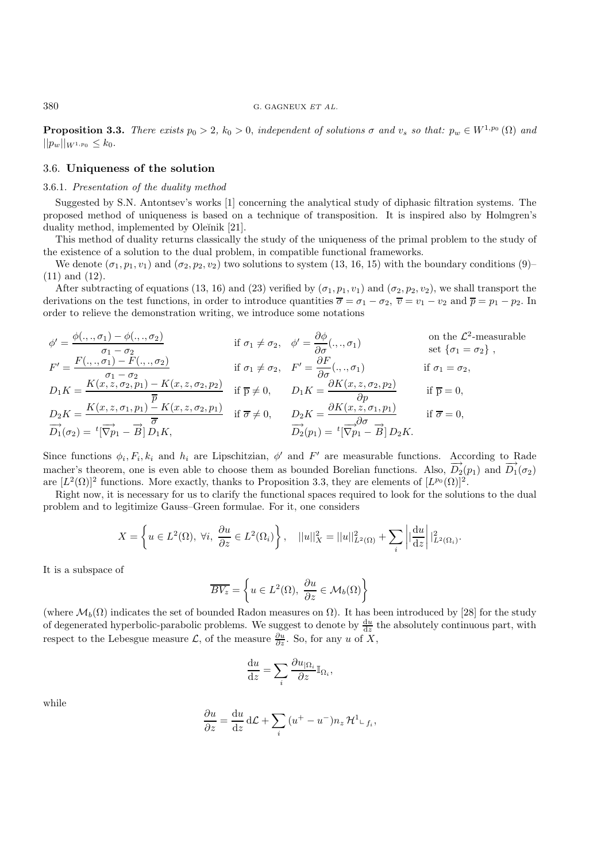**Proposition 3.3.** *There exists*  $p_0 > 2$ ,  $k_0 > 0$ , *independent of solutions*  $\sigma$  *and*  $v_s$  *so that:*  $p_w \in W^{1,p_0}(\Omega)$  *and*  $||p_w||_{W^{1,p_0}} \leq k_0.$ 

#### 3.6. **Uniqueness of the solution**

#### 3.6.1. *Presentation of the duality method*

Suggested by S.N. Antontsev's works [1] concerning the analytical study of diphasic filtration systems. The proposed method of uniqueness is based on a technique of transposition. It is inspired also by Holmgren's duality method, implemented by Oleĭnik [21].

This method of duality returns classically the study of the uniqueness of the primal problem to the study of the existence of a solution to the dual problem, in compatible functional frameworks.

We denote  $(\sigma_1, p_1, v_1)$  and  $(\sigma_2, p_2, v_2)$  two solutions to system (13, 16, 15) with the boundary conditions (9)– (11) and (12).

After subtracting of equations (13, 16) and (23) verified by  $(\sigma_1, p_1, v_1)$  and  $(\sigma_2, p_2, v_2)$ , we shall transport the derivations on the test functions, in order to introduce quantities  $\overline{\sigma} = \sigma_1 - \sigma_2$ ,  $\overline{v} = v_1 - v_2$  and  $\overline{p} = p_1 - p_2$ . In order to relieve the demonstration writing, we introduce some notations

$$
\phi' = \frac{\phi(.,.,\sigma_1) - \phi(.,.,\sigma_2)}{\sigma_1 - \sigma_2}
$$
if  $\sigma_1 \neq \sigma_2$ ,  $\phi' = \frac{\partial \phi}{\partial \sigma}(.,.,\sigma_1)$  on the  $\mathcal{L}^2$ -measurable  
\n
$$
F' = \frac{F(.,.,\sigma_1) - F(.,.,\sigma_2)}{\sigma_1 - \sigma_2}
$$
if  $\sigma_1 \neq \sigma_2$ ,  $F' = \frac{\partial F}{\partial \sigma}(.,.,\sigma_1)$  if  $\sigma_1 = \sigma_2$ ,  
\n
$$
D_1 K = \frac{K(x,z,\sigma_2,p_1) - K(x,z,\sigma_2,p_2)}{\overline{p}}
$$
if  $\overline{p} \neq 0$ ,  $D_1 K = \frac{\partial K(x,z,\sigma_2,p_2)}{\partial p}$  if  $\overline{p} = 0$ ,  
\n
$$
D_2 K = \frac{K(x,z,\sigma_1,p_1) - K(x,z,\sigma_2,p_1)}{\overline{\sigma}}
$$
 if  $\overline{\sigma} \neq 0$ ,  $D_2 K = \frac{\partial K(x,z,\sigma_1,p_1)}{\partial \sigma}$  if  $\overline{\sigma} = 0$ ,  
\n
$$
\overrightarrow{D_1}(\sigma_2) = {}^t[\overrightarrow{\nabla}p_1 - \overrightarrow{B}] D_1 K
$$
,  $\overrightarrow{D_2}(p_1) = {}^t[\overrightarrow{\nabla}p_1 - \overrightarrow{B}] D_2 K$ .

Since functions  $\phi_i, F_i, k_i$  and  $h_i$  are Lipschitzian,  $\phi'$  and  $F'$  are measurable functions. According to Rade macher's theorem, one is even able to choose them as bounded Borelian functions. Also,  $\overrightarrow{D_2}(p_1)$  and  $\overrightarrow{D_1}(\sigma_2)$ are  $[L^2(\Omega)]^2$  functions. More exactly, thanks to Proposition 3.3, they are elements of  $[L^{p_0}(\Omega)]^2$ .

Right now, it is necessary for us to clarify the functional spaces required to look for the solutions to the dual problem and to legitimize Gauss–Green formulae. For it, one considers

$$
X = \left\{ u \in L^{2}(\Omega), \ \forall i, \ \frac{\partial u}{\partial z} \in L^{2}(\Omega_{i}) \right\}, \quad ||u||_{X}^{2} = ||u||_{L^{2}(\Omega)}^{2} + \sum_{i} \left| \left| \frac{\mathrm{d}u}{\mathrm{d}z} \right| \right|_{L^{2}(\Omega_{i})}^{2}.
$$

It is a subspace of

$$
\overline{BV_z} = \left\{ u \in L^2(\Omega), \ \frac{\partial u}{\partial z} \in \mathcal{M}_b(\Omega) \right\}
$$

(where  $\mathcal{M}_b(\Omega)$  indicates the set of bounded Radon measures on  $\Omega$ ). It has been introduced by [28] for the study of degenerated hyperbolic-parabolic problems. We suggest to denote by  $\frac{du}{dz}$  the absolutely continuous part, with respect to the Lebesgue measure  $\mathcal{L}$ , of the measure  $\frac{\partial u}{\partial z}$ . So, for any u of X,

$$
\frac{\mathrm{d}u}{\mathrm{d}z} = \sum_i \frac{\partial u_{|\Omega_i}}{\partial z} \mathbb{I}_{\Omega_i},
$$

while

$$
\frac{\partial u}{\partial z} = \frac{\mathrm{d}u}{\mathrm{d}z} \, \mathrm{d}\mathcal{L} + \sum_{i} \left( u^{+} - u^{-} \right) n_{z} \, \mathcal{H}^{1} \mathcal{L}_{f_{i}},
$$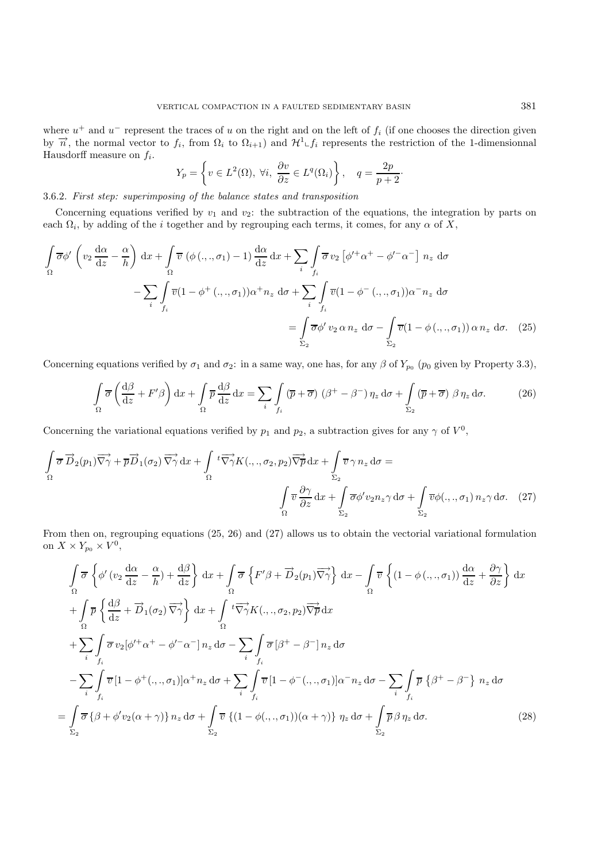where  $u^+$  and  $u^-$  represent the traces of u on the right and on the left of  $f_i$  (if one chooses the direction given by  $\vec{n}$ , the normal vector to  $f_i$ , from  $\Omega_i$  to  $\Omega_{i+1}$  and  $\mathcal{H}^1 \llcorner f_i$  represents the restriction of the 1-dimensionnal Hausdorff measure on  $f_i$ .

$$
Y_p = \left\{ v \in L^2(\Omega), \ \forall i, \ \frac{\partial v}{\partial z} \in L^q(\Omega_i) \right\}, \quad q = \frac{2p}{p+2}.
$$

# 3.6.2. *First step: superimposing of the balance states and transposition*

Concerning equations verified by  $v_1$  and  $v_2$ : the subtraction of the equations, the integration by parts on each  $\Omega_i$ , by adding of the i together and by regrouping each terms, it comes, for any  $\alpha$  of X,

$$
\int_{\Omega} \overline{\sigma} \phi' \left( v_2 \frac{d\alpha}{dz} - \frac{\alpha}{h} \right) dx + \int_{\Omega} \overline{v} \left( \phi \left( \ldots, \sigma_1 \right) - 1 \right) \frac{d\alpha}{dz} dx + \sum_{i} \int_{f_i} \overline{\sigma} v_2 \left[ \phi'^{+} \alpha^{+} - \phi'^{-} \alpha^{-} \right] n_z d\sigma
$$
\n
$$
- \sum_{i} \int_{f_i} \overline{v} (1 - \phi^{+} \left( \ldots, \sigma_1 \right)) \alpha^{+} n_z d\sigma + \sum_{i} \int_{f_i} \overline{v} (1 - \phi^{-} \left( \ldots, \sigma_1 \right)) \alpha^{-} n_z d\sigma
$$
\n
$$
= \int_{\Sigma_2} \overline{\sigma} \phi' v_2 \alpha n_z d\sigma - \int_{\Sigma_2} \overline{v} (1 - \phi \left( \ldots, \sigma_1 \right)) \alpha n_z d\sigma. \quad (25)
$$

Concerning equations verified by  $\sigma_1$  and  $\sigma_2$ : in a same way, one has, for any  $\beta$  of  $Y_{p_0}$  ( $p_0$  given by Property 3.3),

$$
\int_{\Omega} \overline{\sigma} \left( \frac{d\beta}{dz} + F'\beta \right) dx + \int_{\Omega} \overline{p} \frac{d\beta}{dz} dx = \sum_{i} \int_{f_i} (\overline{p} + \overline{\sigma}) (\beta^+ - \beta^-) \eta_z d\sigma + \int_{\Sigma_2} (\overline{p} + \overline{\sigma}) \beta \eta_z d\sigma.
$$
 (26)

Concerning the variational equations verified by  $p_1$  and  $p_2$ , a subtraction gives for any  $\gamma$  of  $V^0$ ,

$$
\int_{\Omega} \overrightarrow{\sigma} \overrightarrow{D}_2(p_1) \overrightarrow{\nabla} \gamma + \overrightarrow{p} \overrightarrow{D}_1(\sigma_2) \overrightarrow{\nabla} \gamma \, dx + \int_{\Omega} t \overrightarrow{\nabla} \gamma K(.,., \sigma_2, p_2) \overrightarrow{\nabla} \overrightarrow{p} \, dx + \int_{\Sigma_2} \overrightarrow{\nabla} \gamma n_z \, d\sigma =
$$
\n
$$
\int_{\Omega} \overrightarrow{v} \frac{\partial \gamma}{\partial z} \, dx + \int_{\Sigma_2} \overrightarrow{\sigma} \phi' v_2 n_z \gamma \, d\sigma + \int_{\Sigma_2} \overrightarrow{\nabla} \phi(.,., \sigma_1) n_z \gamma \, d\sigma. \quad (27)
$$

From then on, regrouping equations (25, 26) and (27) allows us to obtain the vectorial variational formulation on  $X \times Y_{p_0} \times V^0$ ,

$$
\int_{\Omega} \overline{\sigma} \left\{ \phi'(v_2 \frac{d\alpha}{dz} - \frac{\alpha}{h}) + \frac{d\beta}{dz} \right\} dx + \int_{\Omega} \overline{\sigma} \left\{ F' \beta + \overrightarrow{D}_2(p_1) \overrightarrow{\nabla} \gamma \right\} dx - \int_{\Omega} \overline{v} \left\{ (1 - \phi(\cdot, \cdot, \sigma_1)) \frac{d\alpha}{dz} + \frac{\partial \gamma}{\partial z} \right\} dx
$$
  
+ 
$$
\int_{\Omega} \overline{p} \left\{ \frac{d\beta}{dz} + \overrightarrow{D}_1(\sigma_2) \overrightarrow{\nabla} \gamma \right\} dx + \int_{\Omega} t \overrightarrow{\nabla} \gamma K(\cdot, \cdot, \sigma_2, p_2) \overrightarrow{\nabla} \overrightarrow{p} dx
$$
  
+ 
$$
\sum_{i} \int_{f_i} \overline{\sigma} v_2 [\phi'^{+} \alpha^{+} - \phi'^{-} \alpha^{-}] n_z d\sigma - \sum_{i} \int_{f_i} \overline{\sigma} [\beta^{+} - \beta^{-}] n_z d\sigma
$$
  
- 
$$
\sum_{i} \int_{f_i} \overline{v} [1 - \phi^{+}(\cdot, \cdot, \sigma_1)] \alpha^{+} n_z d\sigma + \sum_{i} \int_{f_i} \overline{v} [1 - \phi^{-}(\cdot, \cdot, \sigma_1)] \alpha^{-} n_z d\sigma - \sum_{i} \int_{f_i} \overline{p} \left\{ \beta^{+} - \beta^{-} \right\} n_z d\sigma
$$
  
= 
$$
\int_{\Sigma_2} \overline{\sigma} \left\{ \beta + \phi' v_2(\alpha + \gamma) \right\} n_z d\sigma + \int_{\Sigma_2} \overline{v} \left\{ (1 - \phi(\cdot, \cdot, \sigma_1)) (\alpha + \gamma) \right\} n_z d\sigma + \int_{\Sigma_2} \overline{p} \beta n_z d\sigma.
$$
 (28)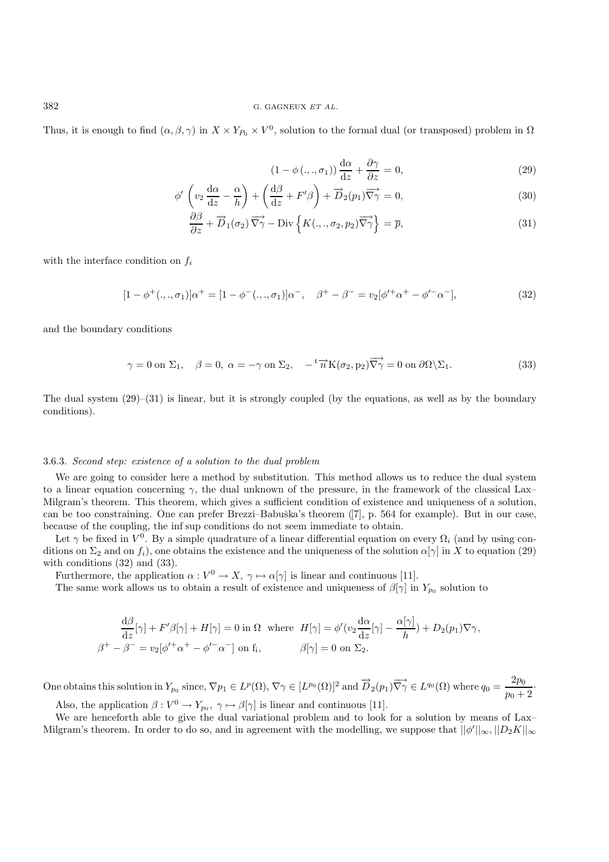Thus, it is enough to find  $(\alpha, \beta, \gamma)$  in  $X \times Y_{P_0} \times V^0$ , solution to the formal dual (or transposed) problem in  $\Omega$ 

$$
(1 - \phi(\ldots, \sigma_1)) \frac{d\alpha}{dz} + \frac{\partial \gamma}{\partial z} = 0,
$$
\n(29)

$$
\phi' \left( v_2 \frac{d\alpha}{dz} - \frac{\alpha}{h} \right) + \left( \frac{d\beta}{dz} + F'\beta \right) + \overrightarrow{D}_2(p_1) \overrightarrow{\nabla}\gamma = 0, \tag{30}
$$

$$
\frac{\partial \beta}{\partial z} + \overrightarrow{D}_1(\sigma_2) \overrightarrow{\nabla \gamma} - \text{Div}\left\{ K(.,.,\sigma_2,p_2) \overrightarrow{\nabla \gamma} \right\} = \overline{p},\tag{31}
$$

with the interface condition on  $f_i$ 

$$
[1 - \phi^+(\cdot, \cdot, \sigma_1)]\alpha^+ = [1 - \phi^-(\cdot, \cdot, \sigma_1)]\alpha^-, \quad \beta^+ - \beta^- = v_2[\phi'^+\alpha^+ - \phi'^-\alpha^)],
$$
\n(32)

and the boundary conditions

$$
\gamma = 0 \text{ on } \Sigma_1, \quad \beta = 0, \ \alpha = -\gamma \text{ on } \Sigma_2, \quad -^{\text{t}} \overrightarrow{n} K(\sigma_2, p_2) \overrightarrow{\nabla \gamma} = 0 \text{ on } \partial \Omega \setminus \Sigma_1. \tag{33}
$$

The dual system  $(29)$ – $(31)$  is linear, but it is strongly coupled (by the equations, as well as by the boundary conditions).

#### 3.6.3. *Second step: existence of a solution to the dual problem*

We are going to consider here a method by substitution. This method allows us to reduce the dual system to a linear equation concerning  $\gamma$ , the dual unknown of the pressure, in the framework of the classical Lax– Milgram's theorem. This theorem, which gives a sufficient condition of existence and uniqueness of a solution, can be too constraining. One can prefer Brezzi–Babuška's theorem ([7], p. 564 for example). But in our case, because of the coupling, the inf sup conditions do not seem immediate to obtain.

Let  $\gamma$  be fixed in  $V^0$ . By a simple quadrature of a linear differential equation on every  $\Omega_i$  (and by using conditions on  $\Sigma_2$  and on  $f_i$ ), one obtains the existence and the uniqueness of the solution  $\alpha[\gamma]$  in X to equation (29) with conditions  $(32)$  and  $(33)$ .

Furthermore, the application  $\alpha: V^0 \to X$ ,  $\gamma \mapsto \alpha[\gamma]$  is linear and continuous [11].

The same work allows us to obtain a result of existence and uniqueness of  $\beta[\gamma]$  in  $Y_{p_0}$  solution to

$$
\frac{d\beta}{dz}[\gamma] + F'\beta[\gamma] + H[\gamma] = 0 \text{ in } \Omega \text{ where } H[\gamma] = \phi'(v_2 \frac{d\alpha}{dz}[\gamma] - \frac{\alpha[\gamma]}{h}) + D_2(p_1)\nabla\gamma,
$$
  

$$
\beta^+ - \beta^- = v_2[\phi'^+\alpha^+ - \phi'^-\alpha^-] \text{ on } f_i, \qquad \beta[\gamma] = 0 \text{ on } \Sigma_2.
$$

One obtains this solution in  $Y_{p_0}$  since,  $\nabla p_1 \in L^p(\Omega)$ ,  $\nabla \gamma \in [L^{p_0}(\Omega)]^2$  and  $\overrightarrow{D}_2(p_1)\overrightarrow{\nabla \gamma} \in L^{q_0}(\Omega)$  where  $q_0 = \frac{2p_0}{p_0 + 2}$ . Also, the application  $\beta: V^0 \to Y_{p_0}, \gamma \mapsto \beta[\gamma]$  is linear and continuous [11].

We are henceforth able to give the dual variational problem and to look for a solution by means of Lax– Milgram's theorem. In order to do so, and in agreement with the modelling, we suppose that  $||\phi'||_{\infty}, ||D_2K||_{\infty}$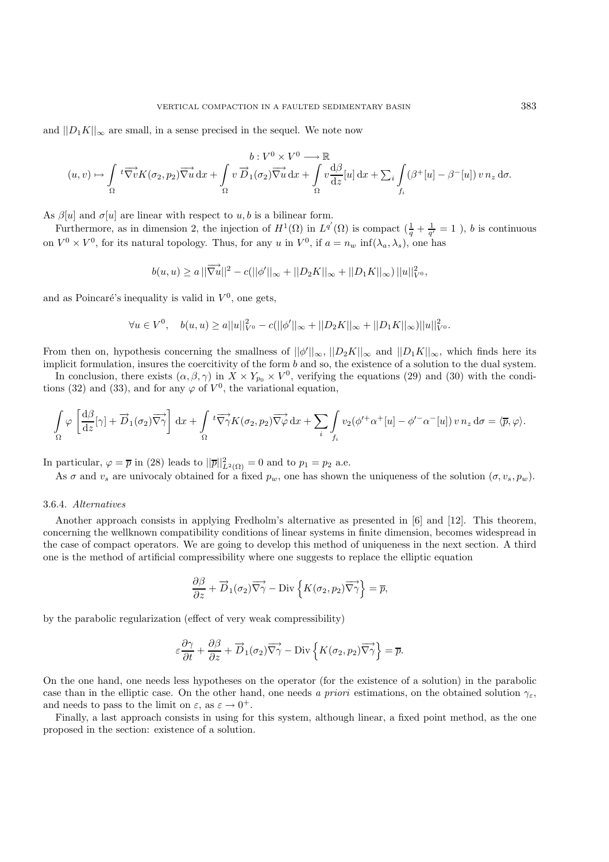and  $||D_1K||_{\infty}$  are small, in a sense precised in the sequel. We note now

$$
(u,v) \mapsto \int_{\Omega} t \overrightarrow{\nabla v} K(\sigma_2, p_2) \overrightarrow{\nabla u} dx + \int_{\Omega} v \overrightarrow{D}_1(\sigma_2) \overrightarrow{\nabla u} dx + \int_{\Omega} v \frac{d\beta}{dz} [u] dx + \sum_{i} \int_{f_i} (\beta^+ [u] - \beta^- [u]) v n_z d\sigma.
$$

As  $\beta[u]$  and  $\sigma[u]$  are linear with respect to  $u, b$  is a bilinear form.

Furthermore, as in dimension 2, the injection of  $H^1(\Omega)$  in  $L^{q'}(\Omega)$  is compact  $(\frac{1}{q} + \frac{1}{q'} = 1)$ , b is continuous on  $V^0 \times V^0$ , for its natural topology. Thus, for any u in  $V^0$ , if  $a = n_w \inf(\lambda_a, \lambda_s)$ , one has

$$
b(u, u) \ge a ||\overrightarrow{\nabla u}||^2 - c(||\phi'||_{\infty} + ||D_2K||_{\infty} + ||D_1K||_{\infty}) ||u||_{V^0}^2,
$$

and as Poincaré's inequality is valid in  $V^0$ , one gets,

$$
\forall u \in V^{0}, \quad b(u, u) \ge a ||u||_{V^{0}}^{2} - c(||\phi'||_{\infty} + ||D_{2}K||_{\infty} + ||D_{1}K||_{\infty})||u||_{V^{0}}^{2}.
$$

From then on, hypothesis concerning the smallness of  $||\phi'||_{\infty}$ ,  $||D_2K||_{\infty}$  and  $||D_1K||_{\infty}$ , which finds here its implicit formulation, insures the coercitivity of the form b and so, the existence of a solution to the dual system. In conclusion, there exists  $(\alpha, \beta, \gamma)$  in  $X \times Y_{p_0} \times V^0$ , verifying the equations (29) and (30) with the condi-

tions (32) and (33), and for any  $\varphi$  of  $V^0$ , the variational equation,

$$
\int_{\Omega} \varphi \left[ \frac{d\beta}{dz} [\gamma] + \overrightarrow{D}_1(\sigma_2) \overrightarrow{\nabla \gamma} \right] dx + \int_{\Omega} {}^{t} \overrightarrow{\nabla \gamma} K(\sigma_2, p_2) \overrightarrow{\nabla \varphi} dx + \sum_{i} \int_{f_i} v_2(\phi'^{+} \alpha^{+}[u] - \phi'^{-} \alpha^{-}[u]) v n_z d\sigma = \langle \overline{p}, \varphi \rangle.
$$

In particular,  $\varphi = \overline{p}$  in (28) leads to  $||\overline{p}||_{L^2(\Omega)}^2 = 0$  and to  $p_1 = p_2$  a.e.

As  $\sigma$  and  $v_s$  are univocaly obtained for a fixed  $p_w$ , one has shown the uniqueness of the solution  $(\sigma, v_s, p_w)$ .

#### 3.6.4. *Alternatives*

Another approach consists in applying Fredholm's alternative as presented in [6] and [12]. This theorem, concerning the wellknown compatibility conditions of linear systems in finite dimension, becomes widespread in the case of compact operators. We are going to develop this method of uniqueness in the next section. A third one is the method of artificial compressibility where one suggests to replace the elliptic equation

$$
\frac{\partial \beta}{\partial z} + \overrightarrow{D}_1(\sigma_2) \overrightarrow{\nabla \gamma} - \text{Div}\left\{ K(\sigma_2, p_2) \overrightarrow{\nabla \gamma} \right\} = \overline{p},
$$

by the parabolic regularization (effect of very weak compressibility)

$$
\varepsilon \frac{\partial \gamma}{\partial t} + \frac{\partial \beta}{\partial z} + \overrightarrow{D}_1(\sigma_2) \overrightarrow{\nabla \gamma} - \text{Div}\left\{ K(\sigma_2, p_2) \overrightarrow{\nabla \gamma} \right\} = \overline{p}.
$$

On the one hand, one needs less hypotheses on the operator (for the existence of a solution) in the parabolic case than in the elliptic case. On the other hand, one needs *a priori* estimations, on the obtained solution  $\gamma_{\varepsilon}$ , and needs to pass to the limit on  $\varepsilon$ , as  $\varepsilon \to 0^+$ .

Finally, a last approach consists in using for this system, although linear, a fixed point method, as the one proposed in the section: existence of a solution.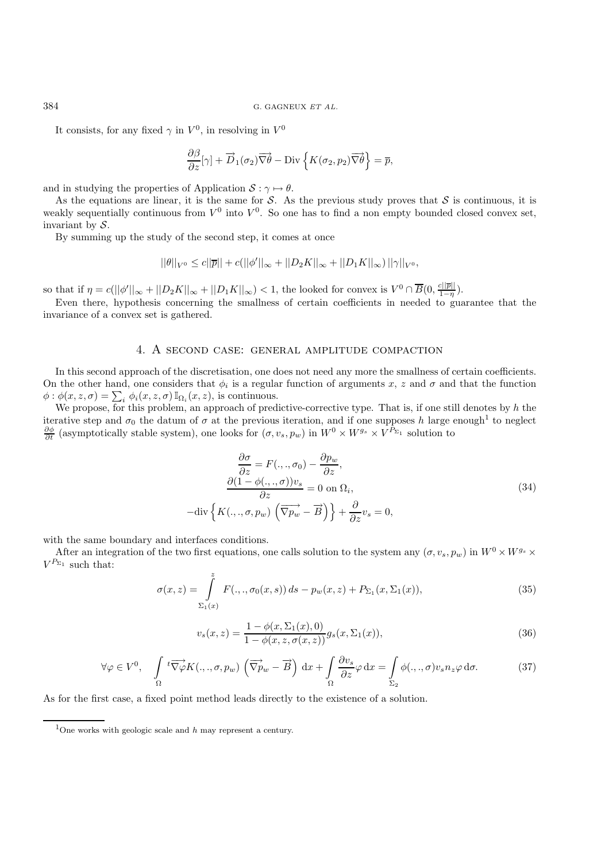It consists, for any fixed  $\gamma$  in  $V^0$ , in resolving in  $V^0$ 

$$
\frac{\partial \beta}{\partial z}[\gamma] + \overrightarrow{D}_1(\sigma_2) \overrightarrow{\nabla \theta} - \text{Div}\left\{ K(\sigma_2, p_2) \overrightarrow{\nabla \theta} \right\} = \overline{p},
$$

and in studying the properties of Application  $S : \gamma \mapsto \theta$ .

As the equations are linear, it is the same for S. As the previous study proves that S is continuous, it is weakly sequentially continuous from  $V^0$  into  $V^0$ . So one has to find a non empty bounded closed convex set, invariant by  $S$ .

By summing up the study of the second step, it comes at once

$$
||\theta||_{V^0} \le c||\overline{p}|| + c(||\phi'||_{\infty} + ||D_2K||_{\infty} + ||D_1K||_{\infty})||\gamma||_{V^0},
$$

so that if  $\eta = c(||\phi'||_{\infty} + ||D_2K||_{\infty} + ||D_1K||_{\infty}) < 1$ , the looked for convex is  $V^0 \cap \overline{B}(0, \frac{c||\overline{p}||}{1-\eta})$ .<br>Even there is proportionic concerning the smallness of certain coefficients in peodod to guess.

Even there, hypothesis concerning the smallness of certain coefficients in needed to guarantee that the invariance of a convex set is gathered.

#### 4. A second case: general amplitude compaction

In this second approach of the discretisation, one does not need any more the smallness of certain coefficients. On the other hand, one considers that  $\phi_i$  is a regular function of arguments x, z and  $\sigma$  and that the function  $\phi : \phi(x, z, \sigma) = \sum_i \phi_i(x, z, \sigma) \mathbb{I}_{\Omega_i}(x, z)$ , is continuous.<br>We propose for this problem, an approach of pred

We propose, for this problem, an approach of predictive-corrective type. That is, if one still denotes by  $h$  the iterative step and  $\sigma_0$  the datum of  $\sigma$  at the previous iteration, and if one supposes h large enough<sup>1</sup> to neglect  $\frac{\partial \phi}{\partial t}$  (asymptotically stable system), one looks for  $(\sigma, v_s, p_w)$  in  $W^0 \times W^{g_s} \times V^{\tilde{P}_{\Sigma_1}}$  solution to

$$
\frac{\partial \sigma}{\partial z} = F(.,., \sigma_0) - \frac{\partial p_w}{\partial z},
$$
\n
$$
\frac{\partial (1 - \phi(.,., \sigma)) v_s}{\partial z} = 0 \text{ on } \Omega_i,
$$
\n
$$
-\text{div}\left\{K(.,., \sigma, p_w)\left(\overrightarrow{\nabla p_w} - \overrightarrow{B}\right)\right\} + \frac{\partial}{\partial z} v_s = 0,
$$
\n(34)

with the same boundary and interfaces conditions.

After an integration of the two first equations, one calls solution to the system any  $(\sigma, v_s, p_w)$  in  $W^0 \times W^{g_s} \times$  $V^{P_{\Sigma_1}}$  such that:

$$
\sigma(x, z) = \int_{\Sigma_1(x)}^z F(.,., \sigma_0(x, s)) ds - p_w(x, z) + P_{\Sigma_1}(x, \Sigma_1(x)),
$$
\n(35)

$$
v_s(x, z) = \frac{1 - \phi(x, \Sigma_1(x), 0)}{1 - \phi(x, z, \sigma(x, z))} g_s(x, \Sigma_1(x)),
$$
\n(36)

$$
\forall \varphi \in V^{0}, \quad \int_{\Omega}^{t} \overrightarrow{\nabla \varphi} K(.,., \sigma, p_{w}) \left( \overrightarrow{\nabla p_{w}} - \overrightarrow{B} \right) dx + \int_{\Omega} \frac{\partial v_{s}}{\partial z} \varphi dx = \int_{\Sigma_{2}} \phi(.,., \sigma) v_{s} n_{z} \varphi d\sigma.
$$
 (37)

As for the first case, a fixed point method leads directly to the existence of a solution.

<sup>1</sup>One works with geologic scale and *<sup>h</sup>* may represent a century.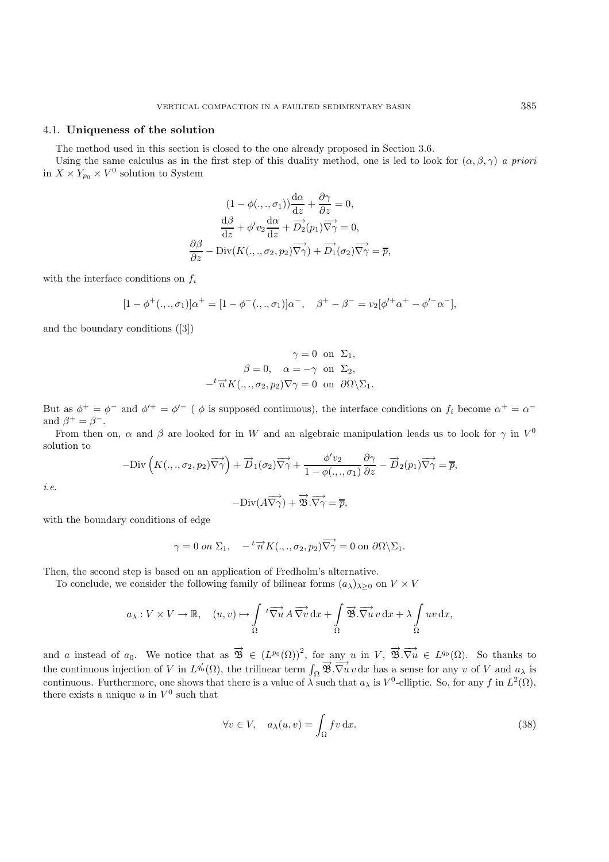# 4.1. **Uniqueness of the solution**

The method used in this section is closed to the one already proposed in Section 3.6.

Using the same calculus as in the first step of this duality method, one is led to look for  $(\alpha, \beta, \gamma)$  *a priori* in  $X \times Y_{p_0} \times V^0$  solution to System

$$
(1 - \phi(.,.,\sigma_1))\frac{d\alpha}{dz} + \frac{\partial\gamma}{\partial z} = 0,
$$

$$
\frac{d\beta}{dz} + \phi'v_2\frac{d\alpha}{dz} + \overrightarrow{D_2}(p_1)\overrightarrow{\nabla\gamma} = 0,
$$

$$
\frac{\partial\beta}{\partial z} - \text{Div}(K(.,.,\sigma_2,p_2)\overrightarrow{\nabla\gamma}) + \overrightarrow{D_1}(\sigma_2)\overrightarrow{\nabla\gamma} = \overline{p},
$$

with the interface conditions on  $f_i$ 

$$
[1 - \phi^+(\cdot, \cdot, \sigma_1)]\alpha^+ = [1 - \phi^-(\cdot, \cdot, \sigma_1)]\alpha^-, \quad \beta^+ - \beta^- = v_2[\phi'^+\alpha^+ - \phi'^-\alpha^-],
$$

and the boundary conditions ([3])

$$
\gamma = 0 \text{ on } \Sigma_1,
$$
  

$$
\beta = 0, \quad \alpha = -\gamma \text{ on } \Sigma_2,
$$
  

$$
-{}^{t}\overrightarrow{n}K(.,.,\sigma_2,p_2)\nabla\gamma = 0 \text{ on } \partial\Omega\setminus\Sigma_1.
$$

But as  $\phi^+ = \phi^-$  and  $\phi'^+ = \phi'^-$  (  $\phi$  is supposed continuous), the interface conditions on  $f_i$  become  $\alpha^+ = \alpha^$ and  $\beta^+ = \beta^-$ .

From then on,  $\alpha$  and  $\beta$  are looked for in W and an algebraic manipulation leads us to look for  $\gamma$  in  $V^0$ solution to

$$
-{\rm Div}\left(K(.,.,\sigma_2,p_2)\overrightarrow{\nabla}\gamma\right)+\overrightarrow{D}_1(\sigma_2)\overrightarrow{\nabla}\gamma+\frac{\phi'v_2}{1-\phi(.,.,\sigma_1)}\frac{\partial\gamma}{\partial z}-\overrightarrow{D}_2(p_1)\overrightarrow{\nabla}\gamma=\overline{p},
$$

*i.e.*

$$
-\text{Div}(A\overrightarrow{\nabla\gamma}) + \overrightarrow{\mathfrak{B}}.\overrightarrow{\nabla\gamma} = \overline{p},
$$

with the boundary conditions of edge

$$
\gamma = 0 \text{ on } \Sigma_1, \quad -^t \overrightarrow{n} K(.,., \sigma_2, p_2) \overrightarrow{\nabla \gamma} = 0 \text{ on } \partial \Omega \backslash \Sigma_1.
$$

Then, the second step is based on an application of Fredholm's alternative.

To conclude, we consider the following family of bilinear forms  $(a_{\lambda})_{\lambda\geq 0}$  on  $V \times V$ 

$$
a_{\lambda}: V \times V \to \mathbb{R}, \quad (u, v) \mapsto \int_{\Omega} t \overrightarrow{\nabla u} A \overrightarrow{\nabla v} dx + \int_{\Omega} \overrightarrow{\mathfrak{B}} \cdot \overrightarrow{\nabla u} v dx + \lambda \int_{\Omega} uv dx,
$$

and a instead of  $a_0$ . We notice that as  $\overrightarrow{\mathfrak{B}} \in (L^{p_0}(\Omega))^2$ , for any u in  $V$ ,  $\overrightarrow{\mathfrak{B}} \cdot \overrightarrow{\nabla u} \in L^{q_0}(\Omega)$ . So thanks to the continuous injection of V in  $L^{q_0'}(\Omega)$ , the trilinear term  $\int_{\Omega} \overrightarrow{B} \cdot \overrightarrow{\nabla u} v \, dx$  has a sense for any v of V and  $a_{\lambda}$  is continuous. Furthermore, one shows that there is a value of  $\lambda$  such that  $a_{\lambda}$  is  $V^0$ -elliptic. So, for any f in  $L^2(\Omega)$ , there exists a unique u in  $V^0$  such that

$$
\forall v \in V, \quad a_{\lambda}(u, v) = \int_{\Omega} f v \, dx. \tag{38}
$$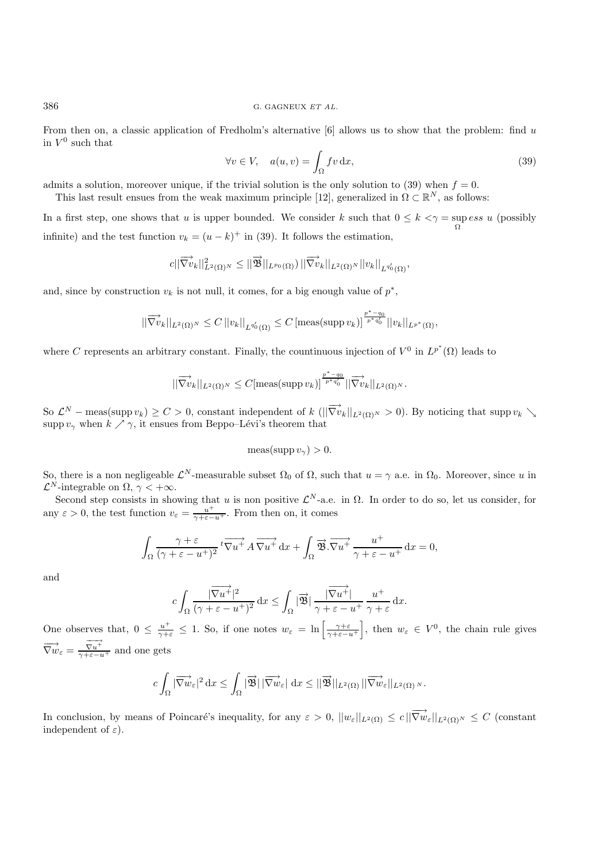From then on, a classic application of Fredholm's alternative  $[6]$  allows us to show that the problem: find u in  $V^0$  such that

$$
\forall v \in V, \quad a(u, v) = \int_{\Omega} fv \, dx,\tag{39}
$$

admits a solution, moreover unique, if the trivial solution is the only solution to (39) when  $f = 0$ .

This last result ensues from the weak maximum principle [12], generalized in  $\Omega \subset \mathbb{R}^N$ , as follows:

In a first step, one shows that u is upper bounded. We consider k such that  $0 \le k \le \gamma = \sup_{\Omega} \cos u$  (possibly infinite) and the test function  $v_k = (u - k)^+$  in (39). It follows the estimation,

$$
c||\overrightarrow{\nabla v}_k||_{L^2(\Omega)^N}^2 \leq ||\overrightarrow{\mathcal{B}}||_{L^{p_0}(\Omega)})||\overrightarrow{\nabla v}_k||_{L^2(\Omega)^N}||v_k||_{L^{q_0'}(\Omega)},
$$

and, since by construction  $v_k$  is not null, it comes, for a big enough value of  $p^*$ ,

$$
||\overrightarrow{\nabla v}_k||_{L^2(\Omega)^N} \leq C ||v_k||_{L^{q_0'}(\Omega)} \leq C \left[ \text{meas(supp } v_k) \right]^{\frac{p^*-q_0}{p^*q_0'}} ||v_k||_{L^{p^*}(\Omega)},
$$

where C represents an arbitrary constant. Finally, the countinuous injection of  $V^0$  in  $L^{p^*}(\Omega)$  leads to

$$
\|\overrightarrow{\nabla v}_k\|_{L^2(\Omega)^N}\leq C[\operatorname{meas}(\operatorname{supp} v_k)]^{\frac{p^*-q_0}{p^*q_0'}}\|\overrightarrow{\nabla v}_k\|_{L^2(\Omega)^N}.
$$

So  $\mathcal{L}^N$  – meas(supp  $v_k \geq C > 0$ , constant independent of k  $(||\overrightarrow{\nabla v}_k||_{L^2(\Omega)^N} > 0$ ). By noticing that supp  $v_k \searrow$ supp  $v_\gamma$  when  $k \nearrow \gamma$ , it ensues from Beppo–Lévi's theorem that

$$
\operatorname{meas}(\operatorname{supp} v_{\gamma}) > 0.
$$

So, there is a non negligeable  $\mathcal{L}^N$ -measurable subset  $\Omega_0$  of  $\Omega$ , such that  $u = \gamma$  a.e. in  $\Omega_0$ . Moreover, since u in  $\mathcal{L}^N$ -integrable on  $\Omega$ ,  $\gamma < +\infty$ .

Second step consists in showing that u is non positive  $\mathcal{L}^N$ -a.e. in  $\Omega$ . In order to do so, let us consider, for any  $\varepsilon > 0$ , the test function  $v_{\varepsilon} = \frac{u^{+}}{\gamma + \varepsilon - u^{+}}$ . From then on, it comes

$$
\int_{\Omega} \frac{\gamma + \varepsilon}{(\gamma + \varepsilon - u^{+})^{2}} t \overrightarrow{\nabla u^{+}} A \overrightarrow{\nabla u^{+}} dx + \int_{\Omega} \overrightarrow{\mathfrak{B}} \cdot \overrightarrow{\nabla u^{+}} \frac{u^{+}}{\gamma + \varepsilon - u^{+}} dx = 0,
$$

and

$$
c\int_{\Omega} \frac{|\overrightarrow{\nabla u^+}|^2}{(\gamma + \varepsilon - u^+)^2} dx \leq \int_{\Omega} |\overrightarrow{\mathcal{B}}| \frac{|\overrightarrow{\nabla u^+}|}{\gamma + \varepsilon - u^+} \frac{u^+}{\gamma + \varepsilon} dx.
$$

One observes that,  $0 \leq \frac{u^+}{\gamma + \varepsilon} \leq 1$ . So, if one notes  $w_{\varepsilon} = \ln \left[ \frac{\gamma + \varepsilon}{\gamma + \varepsilon - u^+} \right]$ ], then  $w_{\varepsilon} \in V^0$ , the chain rule gives  $\overrightarrow{\nabla w}_{\varepsilon} = \frac{\overrightarrow{\nabla u^+}}{\gamma + \varepsilon - u^+}$  and one gets

$$
c\int_{\Omega}|\overrightarrow{\nabla w}_{\varepsilon}|^{2} dx \leq \int_{\Omega}|\overrightarrow{\mathcal{B}}|\,|\overrightarrow{\nabla w}_{\varepsilon}| dx \leq ||\overrightarrow{\mathcal{B}}||_{L^{2}(\Omega)}\,||\overrightarrow{\nabla w}_{\varepsilon}||_{L^{2}(\Omega)}.
$$

In conclusion, by means of Poincaré's inequality, for any  $\varepsilon > 0$ ,  $||w_{\varepsilon}||_{L^2(\Omega)} \le c ||\overrightarrow{\nabla w}_{\varepsilon}||_{L^2(\Omega)} \le C$  (constant independent of  $\varepsilon$ ).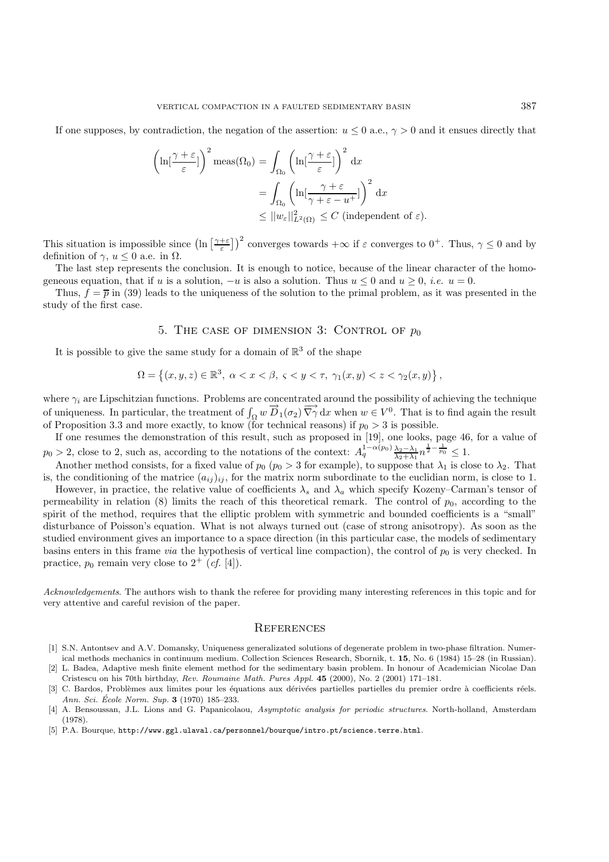If one supposes, by contradiction, the negation of the assertion:  $u \leq 0$  a.e.,  $\gamma > 0$  and it ensues directly that

$$
\left(\ln\left[\frac{\gamma+\varepsilon}{\varepsilon}\right]\right)^2 \text{meas}(\Omega_0) = \int_{\Omega_0} \left(\ln\left[\frac{\gamma+\varepsilon}{\varepsilon}\right]\right)^2 dx
$$
  

$$
= \int_{\Omega_0} \left(\ln\left[\frac{\gamma+\varepsilon}{\gamma+\varepsilon-u^+}\right]\right)^2 dx
$$
  

$$
\leq ||w_{\varepsilon}||^2_{L^2(\Omega)} \leq C \text{ (independent of } \varepsilon).
$$

This situation is impossible since  $(\ln \left[\frac{\gamma+\varepsilon}{\varepsilon}\right])^2$  converges towards  $+\infty$  if  $\varepsilon$  converges to  $0^+$ . Thus,  $\gamma \leq 0$  and by definition of  $\gamma, u \leq 0$  a.e. in  $\Omega$ .

The last step represents the conclusion. It is enough to notice, because of the linear character of the homogeneous equation, that if u is a solution,  $-u$  is also a solution. Thus  $u \leq 0$  and  $u \geq 0$ , *i.e.*  $u = 0$ .

Thus,  $f = \overline{p}$  in (39) leads to the uniqueness of the solution to the primal problem, as it was presented in the study of the first case.

# 5. THE CASE OF DIMENSION 3: CONTROL OF  $p_0$

It is possible to give the same study for a domain of  $\mathbb{R}^3$  of the shape

$$
\Omega = \left\{ (x, y, z) \in \mathbb{R}^3, \ \alpha < x < \beta, \ \varsigma < y < \tau, \ \gamma_1(x, y) < z < \gamma_2(x, y) \right\},
$$

where  $\gamma_i$  are Lipschitzian functions. Problems are concentrated around the possibility of achieving the technique of uniqueness. In particular, the treatment of  $\int_{\Omega} w \overrightarrow{D}_1(\sigma_2) \overrightarrow{\nabla} \gamma \, dx$  when  $w \in V^0$ . That is to find again the result of Proposition 3.3 and more exactly, to know (for technical reasons) if  $p_0 > 3$  is possible.

If one resumes the demonstration of this result, such as proposed in [19], one looks, page 46, for a value of  $p_0 > 2$ , close to 2, such as, according to the notations of the context:  $A_q^{1-\alpha(p_0)} \frac{\lambda_2 - \lambda_1}{\lambda_2 + \lambda_1} n^{\frac{1}{2} - \frac{1}{p_0}} \leq 1$ .

Another method consists, for a fixed value of  $p_0$  ( $p_0 > 3$  for example), to suppose that  $\lambda_1$  is close to  $\lambda_2$ . That is, the conditioning of the matrice  $(a_{ij})_{ij}$ , for the matrix norm subordinate to the euclidian norm, is close to 1.

However, in practice, the relative value of coefficients  $\lambda_s$  and  $\lambda_a$  which specify Kozeny–Carman's tensor of permeability in relation (8) limits the reach of this theoretical remark. The control of  $p_0$ , according to the spirit of the method, requires that the elliptic problem with symmetric and bounded coefficients is a "small" disturbance of Poisson's equation. What is not always turned out (case of strong anisotropy). As soon as the studied environment gives an importance to a space direction (in this particular case, the models of sedimentary basins enters in this frame *via* the hypothesis of vertical line compaction), the control of  $p_0$  is very checked. In practice,  $p_0$  remain very close to  $2^+$  (*cf.* [4]).

*Acknowledgements*. The authors wish to thank the referee for providing many interesting references in this topic and for very attentive and careful revision of the paper.

### **REFERENCES**

- [1] S.N. Antontsev and A.V. Domansky, Uniqueness generalizated solutions of degenerate problem in two-phase filtration. Numerical methods mechanics in continuum medium. Collection Sciences Research, Sbornik, t. **15**, No. 6 (1984) 15–28 (in Russian).
- [2] L. Badea, Adaptive mesh finite element method for the sedimentary basin problem. In honour of Academician Nicolae Dan Cristescu on his 70th birthday, Rev. Roumaine Math. Pures Appl. **45** (2000), No. 2 (2001) 171–181.
- C. Bardos, Problèmes aux limites pour les équations aux dérivées partielles partielles du premier ordre à coefficients réels. Ann. Sci. École Norm. Sup. **3** (1970) 185–233.
- [4] A. Bensoussan, J.L. Lions and G. Papanicolaou, Asymptotic analysis for periodic structures. North-holland, Amsterdam (1978).
- [5] P.A. Bourque, http://www.ggl.ulaval.ca/personnel/bourque/intro.pt/science.terre.html.